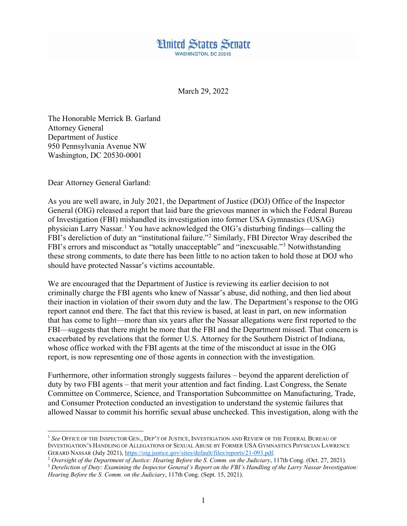

March 29, 2022

The Honorable Merrick B. Garland Attorney General Department of Justice 950 Pennsylvania Avenue NW Washington, DC 20530-0001

Dear Attorney General Garland:

As you are well aware, in July 2021, the Department of Justice (DOJ) Office of the Inspector General (OIG) released a report that laid bare the grievous manner in which the Federal Bureau of Investigation (FBI) mishandled its investigation into former USA Gymnastics (USAG) physician Larry Nassar.[1](#page-0-0) You have acknowledged the OIG's disturbing findings—calling the FBI's dereliction of duty an "institutional failure."[2](#page-0-1) Similarly, FBI Director Wray described the FBI's errors and misconduct as "totally unacceptable" and "inexcusable."<sup>[3](#page-0-2)</sup> Notwithstanding these strong comments, to date there has been little to no action taken to hold those at DOJ who should have protected Nassar's victims accountable.

We are encouraged that the Department of Justice is reviewing its earlier decision to not criminally charge the FBI agents who knew of Nassar's abuse, did nothing, and then lied about their inaction in violation of their sworn duty and the law. The Department's response to the OIG report cannot end there. The fact that this review is based, at least in part, on new information that has come to light—more than six years after the Nassar allegations were first reported to the FBI—suggests that there might be more that the FBI and the Department missed. That concern is exacerbated by revelations that the former U.S. Attorney for the Southern District of Indiana, whose office worked with the FBI agents at the time of the misconduct at issue in the OIG report, is now representing one of those agents in connection with the investigation.

Furthermore, other information strongly suggests failures – beyond the apparent dereliction of duty by two FBI agents – that merit your attention and fact finding. Last Congress, the Senate Committee on Commerce, Science, and Transportation Subcommittee on Manufacturing, Trade, and Consumer Protection conducted an investigation to understand the systemic failures that allowed Nassar to commit his horrific sexual abuse unchecked. This investigation, along with the

<span id="page-0-0"></span> <sup>1</sup> *See* OFFICE OF THE INSPECTOR GEN., DEP'T OF JUSTICE, INVESTIGATION AND REVIEW OF THE FEDERAL BUREAU OF INVESTIGATION'S HANDLING OF ALLEGATIONS OF SEXUAL ABUSE BY FORMER USA GYMNASTICS PHYSICIAN LAWRENCE<br>GERARD NASSAR (July 2021), https://oig.justice.gov/sites/default/files/reports/21-093.pdf.

<span id="page-0-1"></span><sup>&</sup>lt;sup>2</sup> Oversight of the Department of Justice: Hearing Before the S. Comm. on the Judiciary, 117th Cong. (Oct. 27, 2021).

<span id="page-0-2"></span><sup>3</sup> *Dereliction of Duty: Examining the Inspector General's Report on the FBI's Handling of the Larry Nassar Investigation: Hearing Before the S. Comm. on the Judiciary*, 117th Cong. (Sept. 15, 2021).